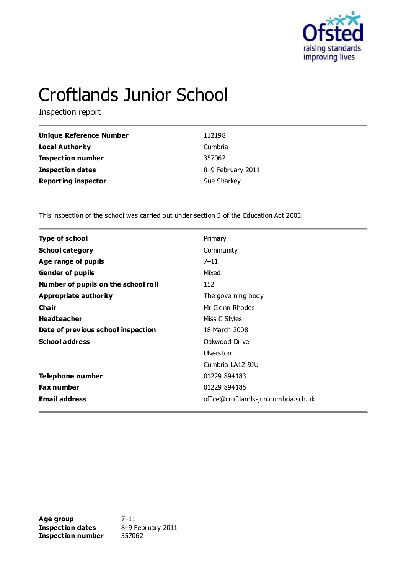

# Croftlands Junior School

Inspection report

| Unique Reference Number    | 112198            |
|----------------------------|-------------------|
| Local Authority            | Cumbria           |
| <b>Inspection number</b>   | 357062            |
| <b>Inspection dates</b>    | 8-9 February 2011 |
| <b>Reporting inspector</b> | Sue Sharkey       |

This inspection of the school was carried out under section 5 of the Education Act 2005.

| <b>Type of school</b>               | Primary                              |
|-------------------------------------|--------------------------------------|
| <b>School category</b>              | Community                            |
| Age range of pupils                 | $7 - 11$                             |
| <b>Gender of pupils</b>             | Mixed                                |
| Number of pupils on the school roll | 152                                  |
| <b>Appropriate authority</b>        | The governing body                   |
| Cha ir                              | Mr Glenn Rhodes                      |
| <b>Headteacher</b>                  | Miss C Styles                        |
| Date of previous school inspection  | 18 March 2008                        |
| <b>School address</b>               | Oakwood Drive                        |
|                                     | <b>Ulverston</b>                     |
|                                     | Cumbria LA12 9JU                     |
| Telephone number                    | 01229 894183                         |
| <b>Fax number</b>                   | 01229 894185                         |
| <b>Email address</b>                | office@croftlands-jun.cumbria.sch.uk |
|                                     |                                      |

**Age group** 7-11<br> **Inspection dates** 8-9 February 2011 **Inspection dates** 8–9 February 8–7<br> **Inspection number** 357062 **Inspection number**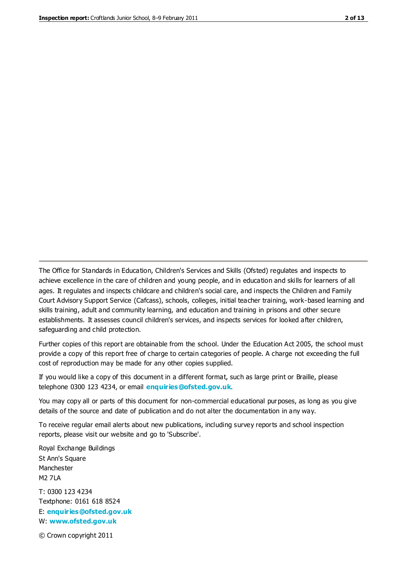The Office for Standards in Education, Children's Services and Skills (Ofsted) regulates and inspects to achieve excellence in the care of children and young people, and in education and skills for learners of all ages. It regulates and inspects childcare and children's social care, and inspects the Children and Family Court Advisory Support Service (Cafcass), schools, colleges, initial teacher training, work-based learning and skills training, adult and community learning, and education and training in prisons and other secure establishments. It assesses council children's services, and inspects services for looked after children, safeguarding and child protection.

Further copies of this report are obtainable from the school. Under the Education Act 2005, the school must provide a copy of this report free of charge to certain categories of people. A charge not exceeding the full cost of reproduction may be made for any other copies supplied.

If you would like a copy of this document in a different format, such as large print or Braille, please telephone 0300 123 4234, or email **[enquiries@ofsted.gov.uk](mailto:enquiries@ofsted.gov.uk)**.

You may copy all or parts of this document for non-commercial educational purposes, as long as you give details of the source and date of publication and do not alter the documentation in any way.

To receive regular email alerts about new publications, including survey reports and school inspection reports, please visit our website and go to 'Subscribe'.

Royal Exchange Buildings St Ann's Square Manchester M2 7LA T: 0300 123 4234 Textphone: 0161 618 8524 E: **[enquiries@ofsted.gov.uk](mailto:enquiries@ofsted.gov.uk)**

W: **[www.ofsted.gov.uk](http://www.ofsted.gov.uk/)**

© Crown copyright 2011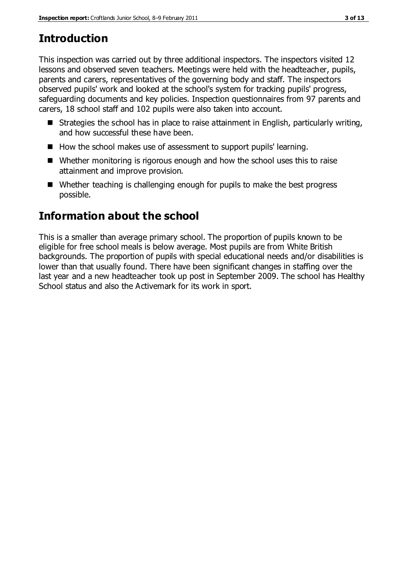# **Introduction**

This inspection was carried out by three additional inspectors. The inspectors visited 12 lessons and observed seven teachers. Meetings were held with the headteacher, pupils, parents and carers, representatives of the governing body and staff. The inspectors observed pupils' work and looked at the school's system for tracking pupils' progress, safeguarding documents and key policies. Inspection questionnaires from 97 parents and carers, 18 school staff and 102 pupils were also taken into account.

- Strategies the school has in place to raise attainment in English, particularly writing, and how successful these have been.
- How the school makes use of assessment to support pupils' learning.
- Whether monitoring is rigorous enough and how the school uses this to raise attainment and improve provision.
- Whether teaching is challenging enough for pupils to make the best progress possible.

# **Information about the school**

This is a smaller than average primary school. The proportion of pupils known to be eligible for free school meals is below average. Most pupils are from White British backgrounds. The proportion of pupils with special educational needs and/or disabilities is lower than that usually found. There have been significant changes in staffing over the last year and a new headteacher took up post in September 2009. The school has Healthy School status and also the Activemark for its work in sport.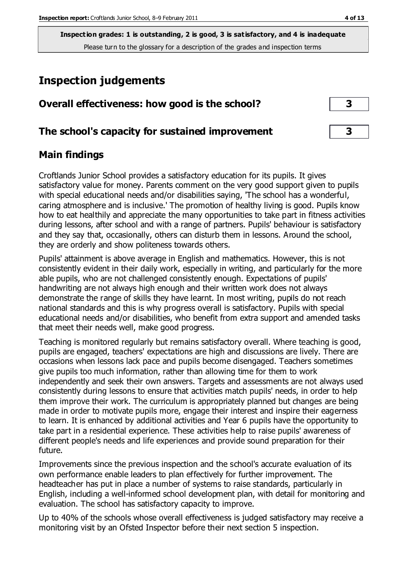**Inspection grades: 1 is outstanding, 2 is good, 3 is satisfactory, and 4 is inadequate** Please turn to the glossary for a description of the grades and inspection terms

# **Inspection judgements**

| Overall effectiveness: how good is the school?  |  |
|-------------------------------------------------|--|
| The school's capacity for sustained improvement |  |

## **Main findings**

Croftlands Junior School provides a satisfactory education for its pupils. It gives satisfactory value for money. Parents comment on the very good support given to pupils with special educational needs and/or disabilities saying, 'The school has a wonderful, caring atmosphere and is inclusive.' The promotion of healthy living is good. Pupils know how to eat healthily and appreciate the many opportunities to take part in fitness activities during lessons, after school and with a range of partners. Pupils' behaviour is satisfactory and they say that, occasionally, others can disturb them in lessons. Around the school, they are orderly and show politeness towards others.

Pupils' attainment is above average in English and mathematics. However, this is not consistently evident in their daily work, especially in writing, and particularly for the more able pupils, who are not challenged consistently enough. Expectations of pupils' handwriting are not always high enough and their written work does not always demonstrate the range of skills they have learnt. In most writing, pupils do not reach national standards and this is why progress overall is satisfactory. Pupils with special educational needs and/or disabilities, who benefit from extra support and amended tasks that meet their needs well, make good progress.

Teaching is monitored regularly but remains satisfactory overall. Where teaching is good, pupils are engaged, teachers' expectations are high and discussions are lively. There are occasions when lessons lack pace and pupils become disengaged. Teachers sometimes give pupils too much information, rather than allowing time for them to work independently and seek their own answers. Targets and assessments are not always used consistently during lessons to ensure that activities match pupils' needs, in order to help them improve their work. The curriculum is appropriately planned but changes are being made in order to motivate pupils more, engage their interest and inspire their eagerness to learn. It is enhanced by additional activities and Year 6 pupils have the opportunity to take part in a residential experience. These activities help to raise pupils' awareness of different people's needs and life experiences and provide sound preparation for their future.

Improvements since the previous inspection and the school's accurate evaluation of its own performance enable leaders to plan effectively for further improvement. The headteacher has put in place a number of systems to raise standards, particularly in English, including a well-informed school development plan, with detail for monitoring and evaluation. The school has satisfactory capacity to improve.

Up to 40% of the schools whose overall effectiveness is judged satisfactory may receive a monitoring visit by an Ofsted Inspector before their next section 5 inspection.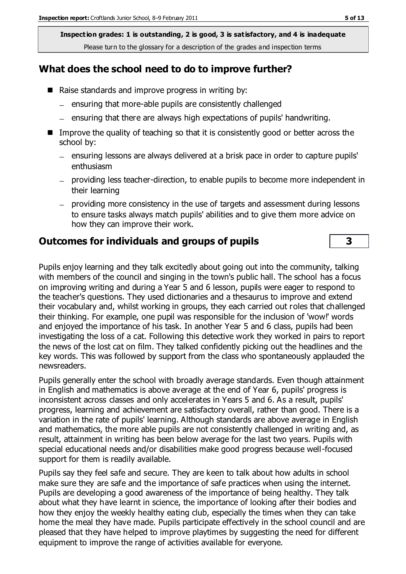**Inspection grades: 1 is outstanding, 2 is good, 3 is satisfactory, and 4 is inadequate** Please turn to the glossary for a description of the grades and inspection terms

# **What does the school need to do to improve further?**

- Raise standards and improve progress in writing by:
	- $-$  ensuring that more-able pupils are consistently challenged
	- $=$  ensuring that there are always high expectations of pupils' handwriting.
- Improve the quality of teaching so that it is consistently good or better across the school by:
	- ensuring lessons are always delivered at a brisk pace in order to capture pupils' enthusiasm
	- providing less teacher-direction, to enable pupils to become more independent in their learning
	- providing more consistency in the use of targets and assessment during lessons to ensure tasks always match pupils' abilities and to give them more advice on how they can improve their work.

### **Outcomes for individuals and groups of pupils 3**

Pupils enjoy learning and they talk excitedly about going out into the community, talking with members of the council and singing in the town's public hall. The school has a focus on improving writing and during a Year 5 and 6 lesson, pupils were eager to respond to the teacher's questions. They used dictionaries and a thesaurus to improve and extend their vocabulary and, whilst working in groups, they each carried out roles that challenged their thinking. For example, one pupil was responsible for the inclusion of 'wow!' words and enjoyed the importance of his task. In another Year 5 and 6 class, pupils had been investigating the loss of a cat. Following this detective work they worked in pairs to report the news of the lost cat on film. They talked confidently picking out the headlines and the key words. This was followed by support from the class who spontaneously applauded the newsreaders.

Pupils generally enter the school with broadly average standards. Even though attainment in English and mathematics is above average at the end of Year 6, pupils' progress is inconsistent across classes and only accelerates in Years 5 and 6. As a result, pupils' progress, learning and achievement are satisfactory overall, rather than good. There is a variation in the rate of pupils' learning. Although standards are above average in English and mathematics, the more able pupils are not consistently challenged in writing and, as result, attainment in writing has been below average for the last two years. Pupils with special educational needs and/or disabilities make good progress because well-focused support for them is readily available.

Pupils say they feel safe and secure. They are keen to talk about how adults in school make sure they are safe and the importance of safe practices when using the internet. Pupils are developing a good awareness of the importance of being healthy. They talk about what they have learnt in science, the importance of looking after their bodies and how they enjoy the weekly healthy eating club, especially the times when they can take home the meal they have made. Pupils participate effectively in the school council and are pleased that they have helped to improve playtimes by suggesting the need for different equipment to improve the range of activities available for everyone.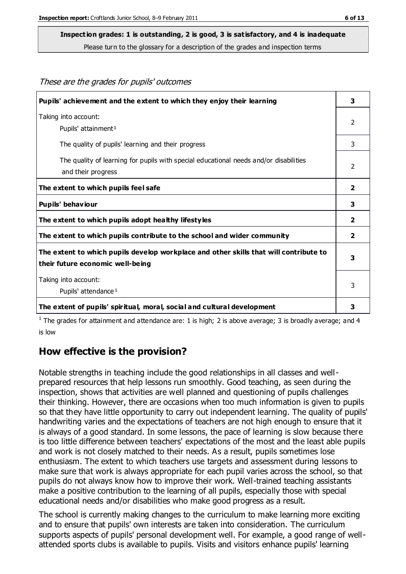These are the grades for pupils' outcomes

## **Inspection grades: 1 is outstanding, 2 is good, 3 is satisfactory, and 4 is inadequate**

Please turn to the glossary for a description of the grades and inspection terms

| Pupils' achievement and the extent to which they enjoy their learning                                                     | 3              |
|---------------------------------------------------------------------------------------------------------------------------|----------------|
| Taking into account:<br>Pupils' attainment <sup>1</sup>                                                                   | $\mathcal{P}$  |
| The quality of pupils' learning and their progress                                                                        | 3              |
| The quality of learning for pupils with special educational needs and/or disabilities<br>and their progress               | $\mathcal{P}$  |
| The extent to which pupils feel safe                                                                                      | $\overline{2}$ |
| Pupils' behaviour                                                                                                         | 3              |
| The extent to which pupils adopt healthy lifestyles                                                                       | $\mathbf{2}$   |
| The extent to which pupils contribute to the school and wider community                                                   | 2              |
| The extent to which pupils develop workplace and other skills that will contribute to<br>their future economic well-being |                |
| Taking into account:<br>Pupils' attendance <sup>1</sup>                                                                   | 3              |
| The extent of pupils' spiritual, moral, social and cultural development                                                   | 3              |

<sup>1</sup> The grades for attainment and attendance are: 1 is high; 2 is above average; 3 is broadly average; and 4 is low

### **How effective is the provision?**

Notable strengths in teaching include the good relationships in all classes and wellprepared resources that help lessons run smoothly. Good teaching, as seen during the inspection, shows that activities are well planned and questioning of pupils challenges their thinking. However, there are occasions when too much information is given to pupils so that they have little opportunity to carry out independent learning. The quality of pupils' handwriting varies and the expectations of teachers are not high enough to ensure that it is always of a good standard. In some lessons, the pace of learning is slow because there is too little difference between teachers' expectations of the most and the least able pupils and work is not closely matched to their needs. As a result, pupils sometimes lose enthusiasm. The extent to which teachers use targets and assessment during lessons to make sure that work is always appropriate for each pupil varies across the school, so that pupils do not always know how to improve their work. Well-trained teaching assistants make a positive contribution to the learning of all pupils, especially those with special educational needs and/or disabilities who make good progress as a result.

The school is currently making changes to the curriculum to make learning more exciting and to ensure that pupils' own interests are taken into consideration. The curriculum supports aspects of pupils' personal development well. For example, a good range of wellattended sports clubs is available to pupils. Visits and visitors enhance pupils' learning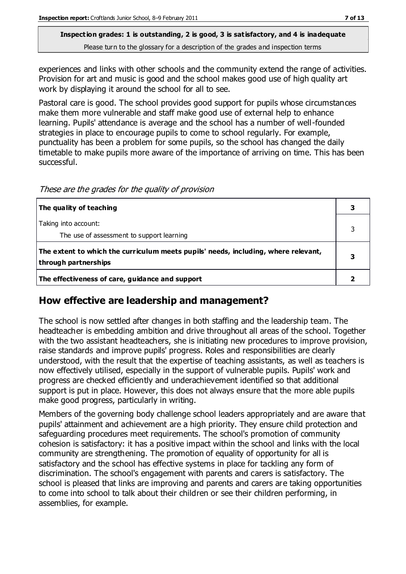#### **Inspection grades: 1 is outstanding, 2 is good, 3 is satisfactory, and 4 is inadequate** Please turn to the glossary for a description of the grades and inspection terms

experiences and links with other schools and the community extend the range of activities. Provision for art and music is good and the school makes good use of high quality art work by displaying it around the school for all to see.

Pastoral care is good. The school provides good support for pupils whose circumstances make them more vulnerable and staff make good use of external help to enhance learning. Pupils' attendance is average and the school has a number of well-founded strategies in place to encourage pupils to come to school regularly. For example, punctuality has been a problem for some pupils, so the school has changed the daily timetable to make pupils more aware of the importance of arriving on time. This has been successful.

These are the grades for the quality of provision

| The quality of teaching                                                                                    |  |
|------------------------------------------------------------------------------------------------------------|--|
| Taking into account:<br>The use of assessment to support learning                                          |  |
| The extent to which the curriculum meets pupils' needs, including, where relevant,<br>through partnerships |  |
| The effectiveness of care, guidance and support                                                            |  |

## **How effective are leadership and management?**

The school is now settled after changes in both staffing and the leadership team. The headteacher is embedding ambition and drive throughout all areas of the school. Together with the two assistant headteachers, she is initiating new procedures to improve provision, raise standards and improve pupils' progress. Roles and responsibilities are clearly understood, with the result that the expertise of teaching assistants, as well as teachers is now effectively utilised, especially in the support of vulnerable pupils. Pupils' work and progress are checked efficiently and underachievement identified so that additional support is put in place. However, this does not always ensure that the more able pupils make good progress, particularly in writing.

Members of the governing body challenge school leaders appropriately and are aware that pupils' attainment and achievement are a high priority. They ensure child protection and safeguarding procedures meet requirements. The school's promotion of community cohesion is satisfactory: it has a positive impact within the school and links with the local community are strengthening. The promotion of equality of opportunity for all is satisfactory and the school has effective systems in place for tackling any form of discrimination. The school's engagement with parents and carers is satisfactory. The school is pleased that links are improving and parents and carers are taking opportunities to come into school to talk about their children or see their children performing, in assemblies, for example.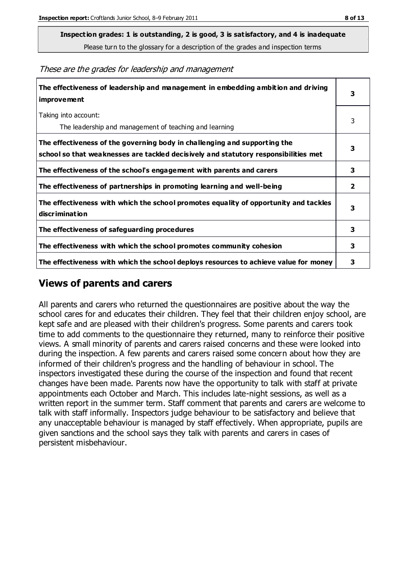**Inspection grades: 1 is outstanding, 2 is good, 3 is satisfactory, and 4 is inadequate**

Please turn to the glossary for a description of the grades and inspection terms

These are the grades for leadership and management

| The effectiveness of leadership and management in embedding ambition and driving<br>improvement                                                                  | 3            |
|------------------------------------------------------------------------------------------------------------------------------------------------------------------|--------------|
| Taking into account:<br>The leadership and management of teaching and learning                                                                                   | 3            |
| The effectiveness of the governing body in challenging and supporting the<br>school so that weaknesses are tackled decisively and statutory responsibilities met | 3            |
| The effectiveness of the school's engagement with parents and carers                                                                                             | 3            |
| The effectiveness of partnerships in promoting learning and well-being                                                                                           | $\mathbf{2}$ |
| The effectiveness with which the school promotes equality of opportunity and tackles<br>discrimination                                                           | 3            |
| The effectiveness of safeguarding procedures                                                                                                                     | 3            |
| The effectiveness with which the school promotes community cohesion                                                                                              | 3            |
| The effectiveness with which the school deploys resources to achieve value for money                                                                             | 3            |

#### **Views of parents and carers**

All parents and carers who returned the questionnaires are positive about the way the school cares for and educates their children. They feel that their children enjoy school, are kept safe and are pleased with their children's progress. Some parents and carers took time to add comments to the questionnaire they returned, many to reinforce their positive views. A small minority of parents and carers raised concerns and these were looked into during the inspection. A few parents and carers raised some concern about how they are informed of their children's progress and the handling of behaviour in school. The inspectors investigated these during the course of the inspection and found that recent changes have been made. Parents now have the opportunity to talk with staff at private appointments each October and March. This includes late-night sessions, as well as a written report in the summer term. Staff comment that parents and carers are welcome to talk with staff informally. Inspectors judge behaviour to be satisfactory and believe that any unacceptable behaviour is managed by staff effectively. When appropriate, pupils are given sanctions and the school says they talk with parents and carers in cases of persistent misbehaviour.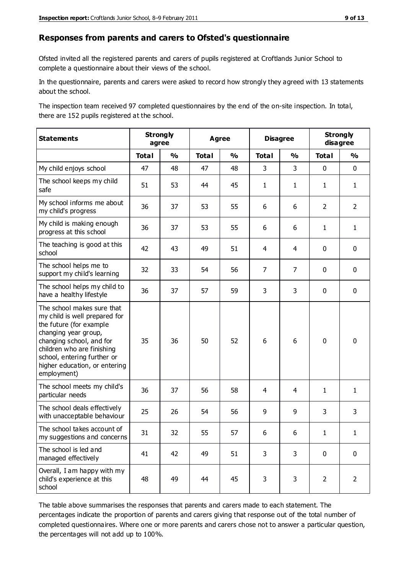#### **Responses from parents and carers to Ofsted's questionnaire**

Ofsted invited all the registered parents and carers of pupils registered at Croftlands Junior School to complete a questionnaire about their views of the school.

In the questionnaire, parents and carers were asked to record how strongly they agreed with 13 statements about the school.

The inspection team received 97 completed questionnaires by the end of the on-site inspection. In total, there are 152 pupils registered at the school.

| <b>Statements</b>                                                                                                                                                                                                                                       | <b>Strongly</b><br>agree |               | <b>Agree</b> |               | <b>Disagree</b> |                | <b>Strongly</b><br>disagree |                |
|---------------------------------------------------------------------------------------------------------------------------------------------------------------------------------------------------------------------------------------------------------|--------------------------|---------------|--------------|---------------|-----------------|----------------|-----------------------------|----------------|
|                                                                                                                                                                                                                                                         | <b>Total</b>             | $\frac{1}{2}$ | <b>Total</b> | $\frac{1}{2}$ | <b>Total</b>    | $\frac{0}{0}$  | <b>Total</b>                | $\frac{1}{2}$  |
| My child enjoys school                                                                                                                                                                                                                                  | 47                       | 48            | 47           | 48            | 3               | 3              | $\mathbf 0$                 | $\mathbf 0$    |
| The school keeps my child<br>safe                                                                                                                                                                                                                       | 51                       | 53            | 44           | 45            | $\mathbf{1}$    | $\mathbf{1}$   | $\mathbf{1}$                | $\mathbf{1}$   |
| My school informs me about<br>my child's progress                                                                                                                                                                                                       | 36                       | 37            | 53           | 55            | 6               | 6              | $\overline{2}$              | $\overline{2}$ |
| My child is making enough<br>progress at this school                                                                                                                                                                                                    | 36                       | 37            | 53           | 55            | 6               | 6              | $\mathbf{1}$                | $\mathbf{1}$   |
| The teaching is good at this<br>school                                                                                                                                                                                                                  | 42                       | 43            | 49           | 51            | 4               | 4              | $\mathbf 0$                 | $\mathbf 0$    |
| The school helps me to<br>support my child's learning                                                                                                                                                                                                   | 32                       | 33            | 54           | 56            | $\overline{7}$  | $\overline{7}$ | $\mathbf 0$                 | $\mathbf 0$    |
| The school helps my child to<br>have a healthy lifestyle                                                                                                                                                                                                | 36                       | 37            | 57           | 59            | 3               | 3              | $\mathbf 0$                 | $\mathbf 0$    |
| The school makes sure that<br>my child is well prepared for<br>the future (for example<br>changing year group,<br>changing school, and for<br>children who are finishing<br>school, entering further or<br>higher education, or entering<br>employment) | 35                       | 36            | 50           | 52            | 6               | 6              | $\mathbf 0$                 | $\mathbf 0$    |
| The school meets my child's<br>particular needs                                                                                                                                                                                                         | 36                       | 37            | 56           | 58            | 4               | $\overline{4}$ | $\mathbf{1}$                | $\mathbf{1}$   |
| The school deals effectively<br>with unacceptable behaviour                                                                                                                                                                                             | 25                       | 26            | 54           | 56            | 9               | 9              | 3                           | 3              |
| The school takes account of<br>my suggestions and concerns                                                                                                                                                                                              | 31                       | 32            | 55           | 57            | 6               | 6              | 1                           | 1              |
| The school is led and<br>managed effectively                                                                                                                                                                                                            | 41                       | 42            | 49           | 51            | 3               | 3              | $\mathbf 0$                 | $\mathbf 0$    |
| Overall, I am happy with my<br>child's experience at this<br>school                                                                                                                                                                                     | 48                       | 49            | 44           | 45            | 3               | 3              | $\overline{2}$              | $\overline{2}$ |

The table above summarises the responses that parents and carers made to each statement. The percentages indicate the proportion of parents and carers giving that response out of the total number of completed questionnaires. Where one or more parents and carers chose not to answer a particular question, the percentages will not add up to 100%.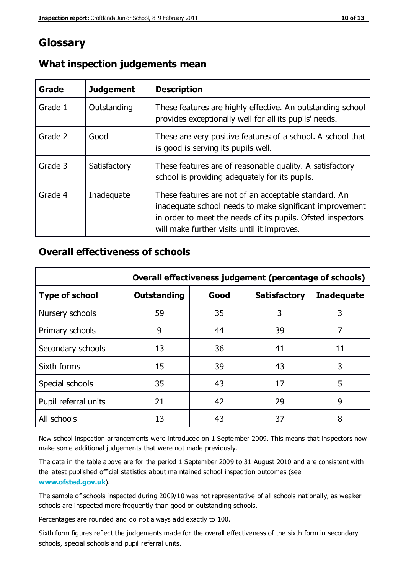# **Glossary**

| Grade   | <b>Judgement</b> | <b>Description</b>                                                                                                                                                                                                            |
|---------|------------------|-------------------------------------------------------------------------------------------------------------------------------------------------------------------------------------------------------------------------------|
| Grade 1 | Outstanding      | These features are highly effective. An outstanding school<br>provides exceptionally well for all its pupils' needs.                                                                                                          |
| Grade 2 | Good             | These are very positive features of a school. A school that<br>is good is serving its pupils well.                                                                                                                            |
| Grade 3 | Satisfactory     | These features are of reasonable quality. A satisfactory<br>school is providing adequately for its pupils.                                                                                                                    |
| Grade 4 | Inadequate       | These features are not of an acceptable standard. An<br>inadequate school needs to make significant improvement<br>in order to meet the needs of its pupils. Ofsted inspectors<br>will make further visits until it improves. |

## **What inspection judgements mean**

## **Overall effectiveness of schools**

|                       | Overall effectiveness judgement (percentage of schools) |      |                     |                   |
|-----------------------|---------------------------------------------------------|------|---------------------|-------------------|
| <b>Type of school</b> | <b>Outstanding</b>                                      | Good | <b>Satisfactory</b> | <b>Inadequate</b> |
| Nursery schools       | 59                                                      | 35   | 3                   | 3                 |
| Primary schools       | 9                                                       | 44   | 39                  | 7                 |
| Secondary schools     | 13                                                      | 36   | 41                  | 11                |
| Sixth forms           | 15                                                      | 39   | 43                  | 3                 |
| Special schools       | 35                                                      | 43   | 17                  | 5                 |
| Pupil referral units  | 21                                                      | 42   | 29                  | 9                 |
| All schools           | 13                                                      | 43   | 37                  | 8                 |

New school inspection arrangements were introduced on 1 September 2009. This means that inspectors now make some additional judgements that were not made previously.

The data in the table above are for the period 1 September 2009 to 31 August 2010 and are consistent with the latest published official statistics about maintained school inspec tion outcomes (see **[www.ofsted.gov.uk](http://www.ofsted.gov.uk/)**).

The sample of schools inspected during 2009/10 was not representative of all schools nationally, as weaker schools are inspected more frequently than good or outstanding schools.

Percentages are rounded and do not always add exactly to 100.

Sixth form figures reflect the judgements made for the overall effectiveness of the sixth form in secondary schools, special schools and pupil referral units.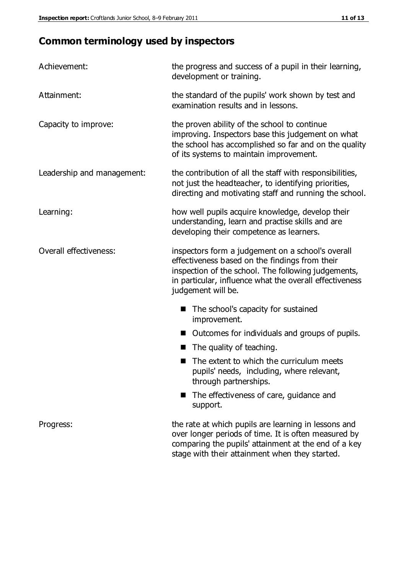# **Common terminology used by inspectors**

| Achievement:                  | the progress and success of a pupil in their learning,<br>development or training.                                                                                                                                                          |  |  |
|-------------------------------|---------------------------------------------------------------------------------------------------------------------------------------------------------------------------------------------------------------------------------------------|--|--|
| Attainment:                   | the standard of the pupils' work shown by test and<br>examination results and in lessons.                                                                                                                                                   |  |  |
| Capacity to improve:          | the proven ability of the school to continue<br>improving. Inspectors base this judgement on what<br>the school has accomplished so far and on the quality<br>of its systems to maintain improvement.                                       |  |  |
| Leadership and management:    | the contribution of all the staff with responsibilities,<br>not just the headteacher, to identifying priorities,<br>directing and motivating staff and running the school.                                                                  |  |  |
| Learning:                     | how well pupils acquire knowledge, develop their<br>understanding, learn and practise skills and are<br>developing their competence as learners.                                                                                            |  |  |
| <b>Overall effectiveness:</b> | inspectors form a judgement on a school's overall<br>effectiveness based on the findings from their<br>inspection of the school. The following judgements,<br>in particular, influence what the overall effectiveness<br>judgement will be. |  |  |
|                               | The school's capacity for sustained<br>improvement.                                                                                                                                                                                         |  |  |
|                               | Outcomes for individuals and groups of pupils.                                                                                                                                                                                              |  |  |
|                               | The quality of teaching.                                                                                                                                                                                                                    |  |  |
|                               | The extent to which the curriculum meets<br>pupils' needs, including, where relevant,<br>through partnerships.                                                                                                                              |  |  |
|                               | The effectiveness of care, guidance and<br>support.                                                                                                                                                                                         |  |  |
| Progress:                     | the rate at which pupils are learning in lessons and<br>over longer periods of time. It is often measured by<br>comparing the pupils' attainment at the end of a key                                                                        |  |  |

stage with their attainment when they started.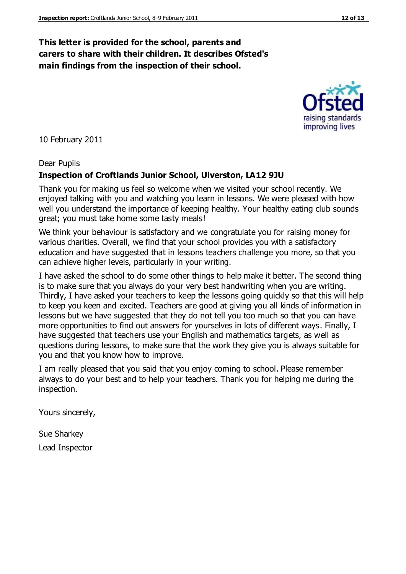## **This letter is provided for the school, parents and carers to share with their children. It describes Ofsted's main findings from the inspection of their school.**

10 February 2011

#### Dear Pupils

#### **Inspection of Croftlands Junior School, Ulverston, LA12 9JU**

Thank you for making us feel so welcome when we visited your school recently. We enjoyed talking with you and watching you learn in lessons. We were pleased with how well you understand the importance of keeping healthy. Your healthy eating club sounds great; you must take home some tasty meals!

We think your behaviour is satisfactory and we congratulate you for raising money for various charities. Overall, we find that your school provides you with a satisfactory education and have suggested that in lessons teachers challenge you more, so that you can achieve higher levels, particularly in your writing.

I have asked the school to do some other things to help make it better. The second thing is to make sure that you always do your very best handwriting when you are writing. Thirdly, I have asked your teachers to keep the lessons going quickly so that this will help to keep you keen and excited. Teachers are good at giving you all kinds of information in lessons but we have suggested that they do not tell you too much so that you can have more opportunities to find out answers for yourselves in lots of different ways. Finally, I have suggested that teachers use your English and mathematics targets, as well as questions during lessons, to make sure that the work they give you is always suitable for you and that you know how to improve.

I am really pleased that you said that you enjoy coming to school. Please remember always to do your best and to help your teachers. Thank you for helping me during the inspection.

Yours sincerely,

Sue Sharkey Lead Inspector